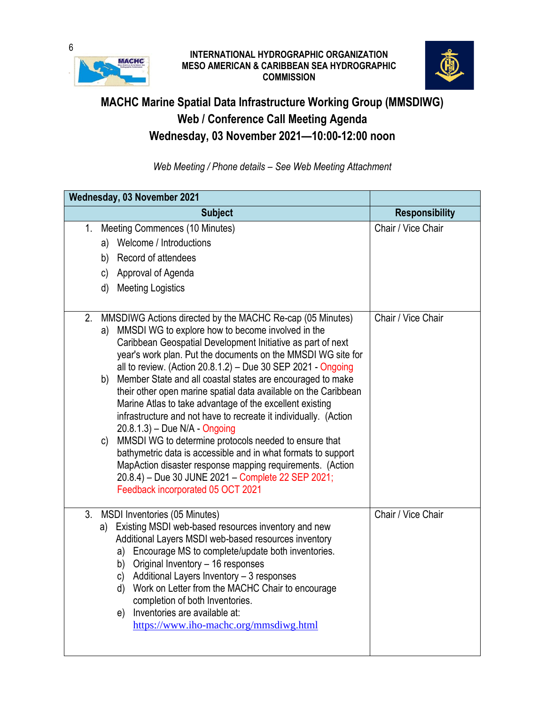

## **INTERNATIONAL HYDROGRAPHIC ORGANIZATION MESO AMERICAN & CARIBBEAN SEA HYDROGRAPHIC COMMISSION**



## **MACHC Marine Spatial Data Infrastructure Working Group (MMSDIWG) Web / Conference Call Meeting Agenda Wednesday, 03 November 2021—10:00-12:00 noon**

*Web Meeting / Phone details – See Web Meeting Attachment*

| Wednesday, 03 November 2021 |              |                                                                                                                             |                       |
|-----------------------------|--------------|-----------------------------------------------------------------------------------------------------------------------------|-----------------------|
|                             |              | <b>Subject</b>                                                                                                              | <b>Responsibility</b> |
| 1 <sub>1</sub>              |              | Meeting Commences (10 Minutes)                                                                                              | Chair / Vice Chair    |
|                             | a)           | Welcome / Introductions                                                                                                     |                       |
|                             |              | b) Record of attendees                                                                                                      |                       |
|                             |              | c) Approval of Agenda                                                                                                       |                       |
|                             |              | d) Meeting Logistics                                                                                                        |                       |
|                             |              |                                                                                                                             |                       |
| 2.                          |              | MMSDIWG Actions directed by the MACHC Re-cap (05 Minutes)                                                                   | Chair / Vice Chair    |
|                             | a)           | MMSDI WG to explore how to become involved in the                                                                           |                       |
|                             |              | Caribbean Geospatial Development Initiative as part of next<br>year's work plan. Put the documents on the MMSDI WG site for |                       |
|                             |              | all to review. (Action 20.8.1.2) - Due 30 SEP 2021 - Ongoing                                                                |                       |
|                             | b)           | Member State and all coastal states are encouraged to make                                                                  |                       |
|                             |              | their other open marine spatial data available on the Caribbean                                                             |                       |
|                             |              | Marine Atlas to take advantage of the excellent existing                                                                    |                       |
|                             |              | infrastructure and not have to recreate it individually. (Action<br>20.8.1.3) - Due N/A - Ongoing                           |                       |
|                             | $\mathsf{C}$ | MMSDI WG to determine protocols needed to ensure that                                                                       |                       |
|                             |              | bathymetric data is accessible and in what formats to support                                                               |                       |
|                             |              | MapAction disaster response mapping requirements. (Action                                                                   |                       |
|                             |              | 20.8.4) - Due 30 JUNE 2021 - Complete 22 SEP 2021;                                                                          |                       |
|                             |              | Feedback incorporated 05 OCT 2021                                                                                           |                       |
| 3.                          |              | MSDI Inventories (05 Minutes)                                                                                               | Chair / Vice Chair    |
|                             |              | a) Existing MSDI web-based resources inventory and new                                                                      |                       |
|                             |              | Additional Layers MSDI web-based resources inventory                                                                        |                       |
|                             |              | Encourage MS to complete/update both inventories.<br>a)<br>b) Original Inventory - 16 responses                             |                       |
|                             |              | c) Additional Layers Inventory - 3 responses                                                                                |                       |
|                             |              | d) Work on Letter from the MACHC Chair to encourage                                                                         |                       |
|                             |              | completion of both Inventories.                                                                                             |                       |
|                             |              | Inventories are available at:<br>e)                                                                                         |                       |
|                             |              | https://www.iho-machc.org/mmsdiwg.html                                                                                      |                       |
|                             |              |                                                                                                                             |                       |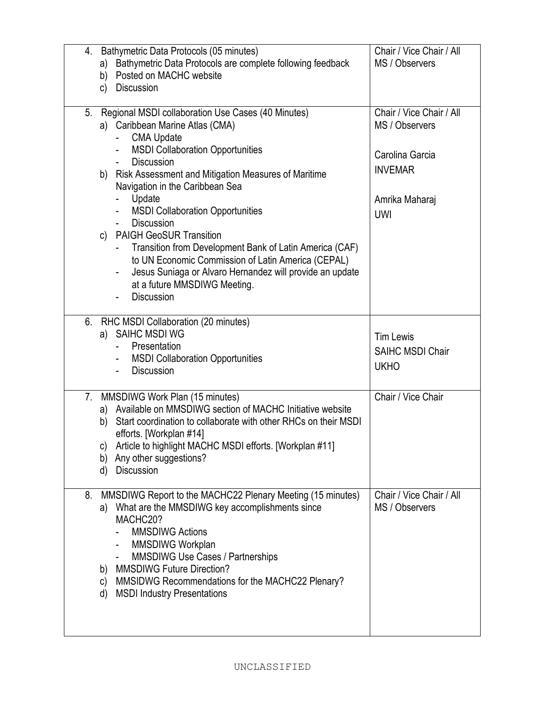| Bathymetric Data Protocols (05 minutes)<br>4.                                                                                        | Chair / Vice Chair / All                   |
|--------------------------------------------------------------------------------------------------------------------------------------|--------------------------------------------|
| Bathymetric Data Protocols are complete following feedback<br>a)<br>Posted on MACHC website<br>b)                                    | MS / Observers                             |
| <b>Discussion</b><br>C)                                                                                                              |                                            |
|                                                                                                                                      |                                            |
| Regional MSDI collaboration Use Cases (40 Minutes)<br>5.                                                                             | Chair / Vice Chair / All<br>MS / Observers |
| a) Caribbean Marine Atlas (CMA)<br><b>CMA Update</b>                                                                                 |                                            |
| <b>MSDI Collaboration Opportunities</b><br>$\sim$                                                                                    | Carolina Garcia                            |
| <b>Discussion</b><br>$\sim$                                                                                                          | <b>INVEMAR</b>                             |
| b) Risk Assessment and Mitigation Measures of Maritime                                                                               |                                            |
| Navigation in the Caribbean Sea<br>Update                                                                                            | Amrika Maharaj                             |
| <b>MSDI Collaboration Opportunities</b>                                                                                              | <b>UWI</b>                                 |
| <b>Discussion</b><br>$\sim$                                                                                                          |                                            |
| c) PAIGH GeoSUR Transition<br>Transition from Development Bank of Latin America (CAF)                                                |                                            |
| to UN Economic Commission of Latin America (CEPAL)                                                                                   |                                            |
| Jesus Suniaga or Alvaro Hernandez will provide an update                                                                             |                                            |
| at a future MMSDIWG Meeting.                                                                                                         |                                            |
| <b>Discussion</b>                                                                                                                    |                                            |
| RHC MSDI Collaboration (20 minutes)<br>6.                                                                                            |                                            |
| a) SAIHC MSDI WG                                                                                                                     | <b>Tim Lewis</b>                           |
| Presentation                                                                                                                         | <b>SAIHC MSDI Chair</b>                    |
| <b>MSDI Collaboration Opportunities</b><br>$\blacksquare$<br><b>Discussion</b><br>$\blacksquare$                                     | <b>UKHO</b>                                |
|                                                                                                                                      |                                            |
| 7. MMSDIWG Work Plan (15 minutes)                                                                                                    | Chair / Vice Chair                         |
| a) Available on MMSDIWG section of MACHC Initiative website<br>Start coordination to collaborate with other RHCs on their MSDI<br>b) |                                            |
| efforts. [Workplan #14]                                                                                                              |                                            |
| Article to highlight MACHC MSDI efforts. [Workplan #11]<br>C)                                                                        |                                            |
| Any other suggestions?<br>b)                                                                                                         |                                            |
| <b>Discussion</b><br>d)                                                                                                              |                                            |
| MMSDIWG Report to the MACHC22 Plenary Meeting (15 minutes)<br>8.                                                                     | Chair / Vice Chair / All                   |
| What are the MMSDIWG key accomplishments since<br>a)                                                                                 | MS / Observers                             |
| MACHC20?<br><b>MMSDIWG Actions</b>                                                                                                   |                                            |
| MMSDIWG Workplan                                                                                                                     |                                            |
| <b>MMSDIWG Use Cases / Partnerships</b>                                                                                              |                                            |
| <b>MMSDIWG Future Direction?</b><br>b)                                                                                               |                                            |
| MMSIDWG Recommendations for the MACHC22 Plenary?<br>C)<br><b>MSDI Industry Presentations</b><br>d)                                   |                                            |
|                                                                                                                                      |                                            |
|                                                                                                                                      |                                            |
|                                                                                                                                      |                                            |